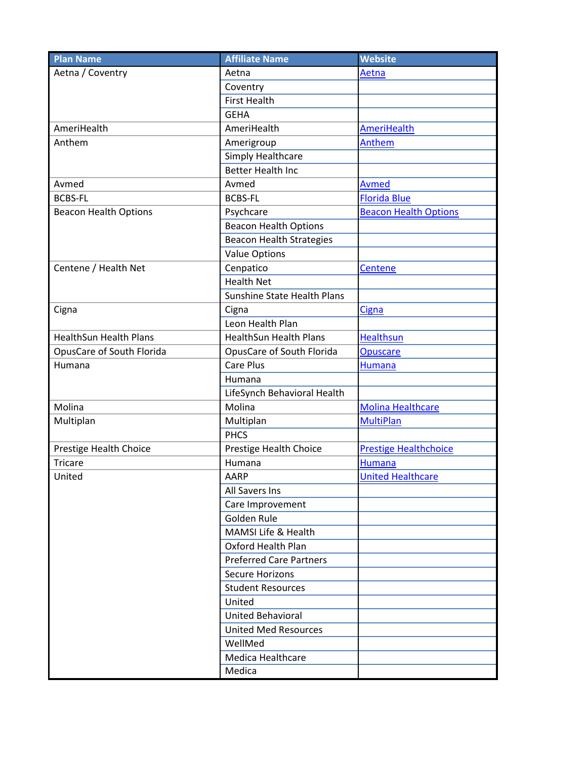| <b>Plan Name</b>              | <b>Affiliate Name</b>           | <b>Website</b>               |
|-------------------------------|---------------------------------|------------------------------|
| Aetna / Coventry              | Aetna                           | Aetna                        |
|                               | Coventry                        |                              |
|                               | <b>First Health</b>             |                              |
|                               | <b>GEHA</b>                     |                              |
| AmeriHealth                   | AmeriHealth                     | AmeriHealth                  |
| Anthem                        | Amerigroup                      | Anthem                       |
|                               | Simply Healthcare               |                              |
|                               | <b>Better Health Inc</b>        |                              |
| Avmed                         | Avmed                           | <b>Avmed</b>                 |
| <b>BCBS-FL</b>                | <b>BCBS-FL</b>                  | <b>Florida Blue</b>          |
| <b>Beacon Health Options</b>  | Psychcare                       | <b>Beacon Health Options</b> |
|                               | <b>Beacon Health Options</b>    |                              |
|                               | <b>Beacon Health Strategies</b> |                              |
|                               | <b>Value Options</b>            |                              |
| Centene / Health Net          | Cenpatico                       | <b>Centene</b>               |
|                               | <b>Health Net</b>               |                              |
|                               | Sunshine State Health Plans     |                              |
| Cigna                         | Cigna                           | <b>Cigna</b>                 |
|                               | Leon Health Plan                |                              |
| <b>HealthSun Health Plans</b> | <b>HealthSun Health Plans</b>   | <b>Healthsun</b>             |
| OpusCare of South Florida     | OpusCare of South Florida       | <b>Opuscare</b>              |
| Humana                        | <b>Care Plus</b>                | <b>Humana</b>                |
|                               | Humana                          |                              |
|                               | LifeSynch Behavioral Health     |                              |
| Molina                        | Molina                          | <b>Molina Healthcare</b>     |
| Multiplan                     | Multiplan                       | <b>MultiPlan</b>             |
|                               | <b>PHCS</b>                     |                              |
| Prestige Health Choice        | Prestige Health Choice          | <b>Prestige Healthchoice</b> |
| Tricare                       | Humana                          | <b>Humana</b>                |
| United                        | <b>AARP</b>                     | <b>United Healthcare</b>     |
|                               | All Savers Ins                  |                              |
|                               | Care Improvement                |                              |
|                               | Golden Rule                     |                              |
|                               | MAMSI Life & Health             |                              |
|                               | <b>Oxford Health Plan</b>       |                              |
|                               | <b>Preferred Care Partners</b>  |                              |
|                               | <b>Secure Horizons</b>          |                              |
|                               | <b>Student Resources</b>        |                              |
|                               | United                          |                              |
|                               | <b>United Behavioral</b>        |                              |
|                               | <b>United Med Resources</b>     |                              |
|                               | WellMed                         |                              |
|                               | Medica Healthcare               |                              |
|                               | Medica                          |                              |